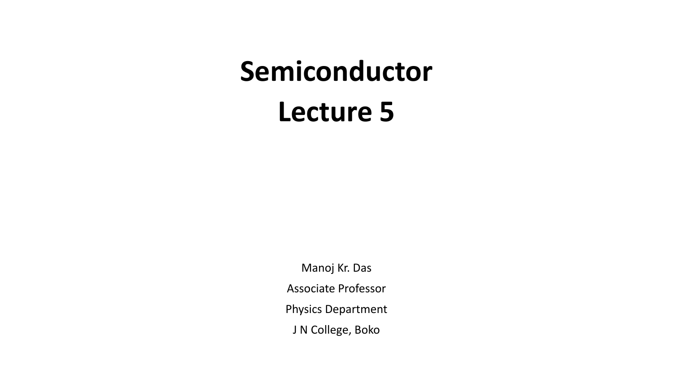# **Semiconductor Lecture 5**

Manoj Kr. Das Associate Professor Physics Department J N College, Boko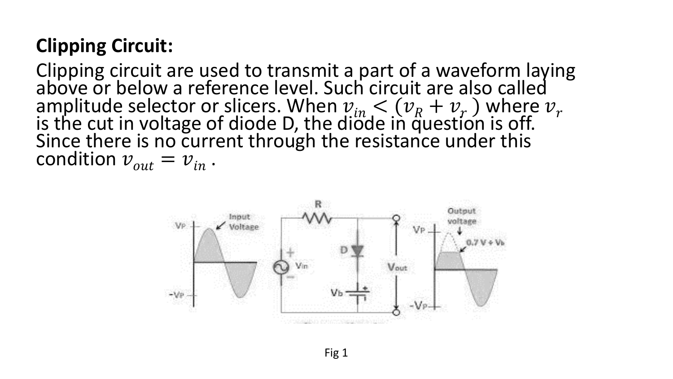## **Clipping Circuit:**

Clipping circuit are used to transmit a part of a waveform laying above or below a reference level. Such circuit are also called amplitude selector or slicers. When  $v_{in} < (v_R + v_r)$  where  $v_r$ is the cut in voltage of diode D, the diode in question is off. Since there is no current through the resistance under this condition  $v_{out} = v_{in}$ .

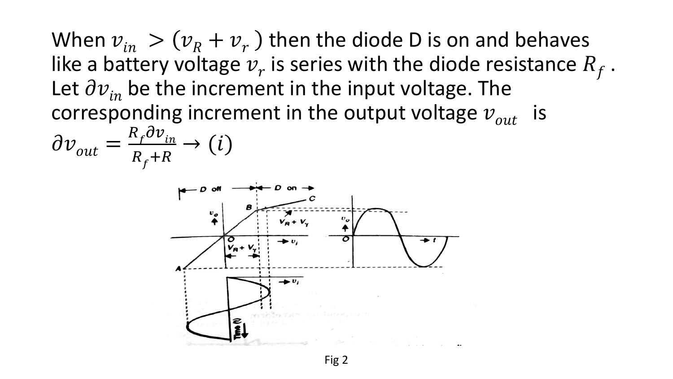When  $v_{in} > (v_R + v_r)$  then the diode D is on and behaves like a battery voltage  $v_r$  is series with the diode resistance  $R_f$  . Let  $\partial v_{in}$  be the increment in the input voltage. The corresponding increment in the output voltage  $v_{out}$  is

$$
\partial v_{out} = \frac{R_f \partial v_{in}}{R_f + R} \to (i)
$$

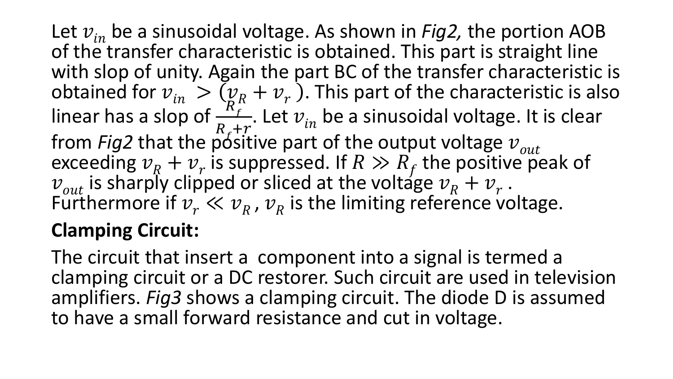Let  $v_{in}$  be a sinusoidal voltage. As shown in *Fig2*, the portion AOB of the transfer characteristic is obtained. This part is straight line with slop of unity. Again the part BC of the transfer characteristic is obtained for  $v_{in} > (v_R + v_r)$ . This part of the characteristic is also linear has a slop of  $\frac{R_f^R}{R+r}$ . Let  $v_{in}$  be a sinusoidal voltage. It is clear  $R_{f}+r$ from *Fig2* that the positive part of the output voltage  $v_{out}$ exceeding  $v_R + v_r$  is suppressed. If  $R \gg R_f$  the positive peak of  $v_{out}$  is sharply clipped or sliced at the voltage  $v_R + v_r$ . Furthermore if  $v_r \ll v_R$ ,  $v_R$  is the limiting reference voltage.

## **Clamping Circuit:**

The circuit that insert a component into a signal is termed a clamping circuit or a DC restorer. Such circuit are used in television amplifiers. *Fig3* shows a clamping circuit. The diode D is assumed to have a small forward resistance and cut in voltage.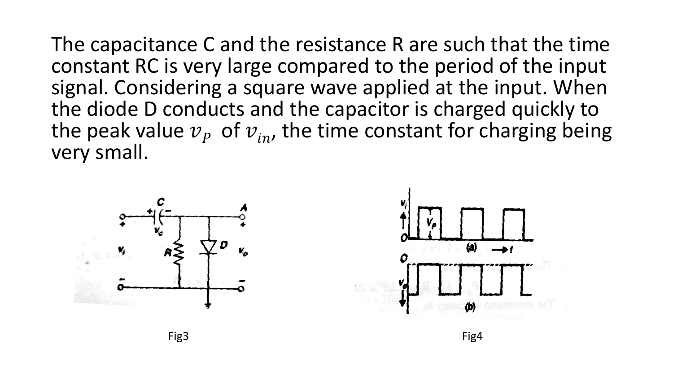The capacitance C and the resistance R are such that the time constant RC is very large compared to the period of the input signal. Considering a square wave applied at the input. When the diode D conducts and the capacitor is charged quickly to the peak value  $v_p$  of  $v_{in}$ , the time constant for charging being very small.

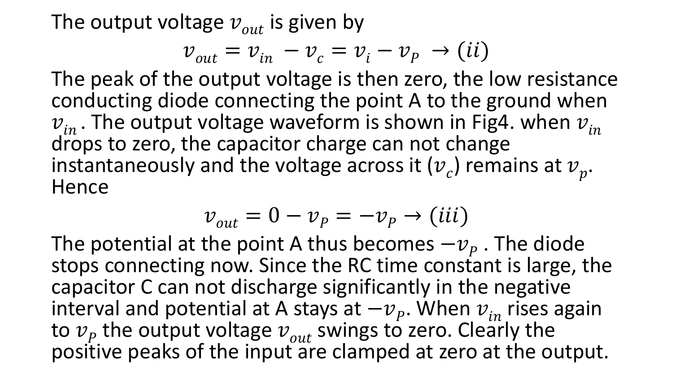The output voltage  $v_{out}$  is given by

$$
v_{out} = v_{in} - v_c = v_i - v_p \rightarrow (ii)
$$

The peak of the output voltage is then zero, the low resistance conducting diode connecting the point A to the ground when  $v_{in}$ . The output voltage waveform is shown in Fig4. when  $v_{in}$ drops to zero, the capacitor charge can not change instantaneously and the voltage across it  $(v_c)$  remains at  $v_p$ . **Hence** 

$$
v_{out} = 0 - v_p = -v_p \rightarrow (iii)
$$

The potential at the point A thus becomes  $-v_p$ . The diode stops connecting now. Since the RC time constant is large, the capacitor C can not discharge significantly in the negative interval and potential at A stays at  $-v_p$ . When  $v_{in}$  rises again to  $v_p$  the output voltage  $v_{out}$  swings to zero. Clearly the positive peaks of the input are clamped at zero at the output.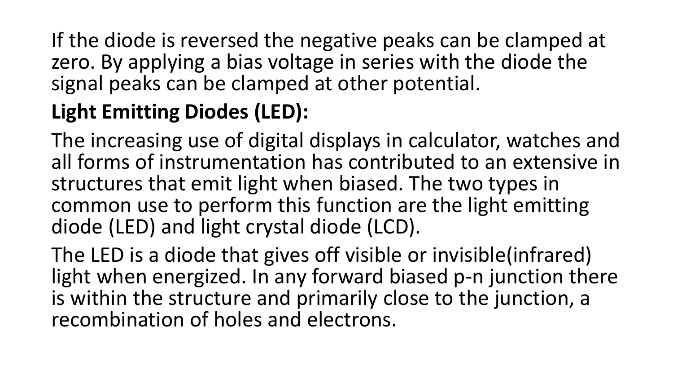If the diode is reversed the negative peaks can be clamped at zero. By applying a bias voltage in series with the diode the signal peaks can be clamped at other potential.

# **Light Emitting Diodes (LED):**

The increasing use of digital displays in calculator, watches and all forms of instrumentation has contributed to an extensive in structures that emit light when biased. The two types in common use to perform this function are the light emitting diode (LED) and light crystal diode (LCD).

The LED is a diode that gives off visible or invisible(infrared) light when energized. In any forward biased p-n junction there is within the structure and primarily close to the junction, a recombination of holes and electrons.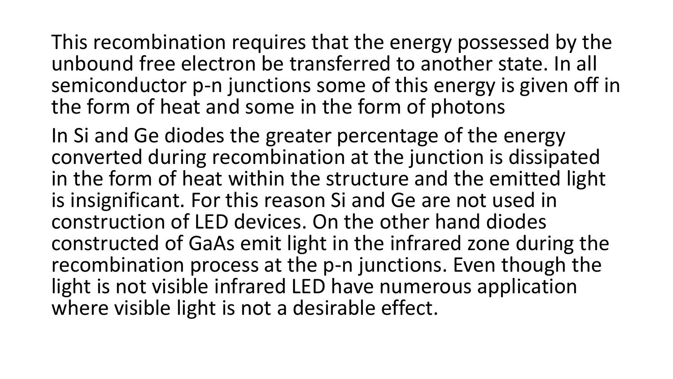This recombination requires that the energy possessed by the unbound free electron be transferred to another state. In all semiconductor p-n junctions some of this energy is given off in the form of heat and some in the form of photons

In Si and Ge diodes the greater percentage of the energy converted during recombination at the junction is dissipated in the form of heat within the structure and the emitted light is insignificant. For this reason Si and Ge are not used in construction of LED devices. On the other hand diodes constructed of GaAs emit light in the infrared zone during the recombination process at the p-n junctions. Even though the light is not visible infrared LED have numerous application where visible light is not a desirable effect.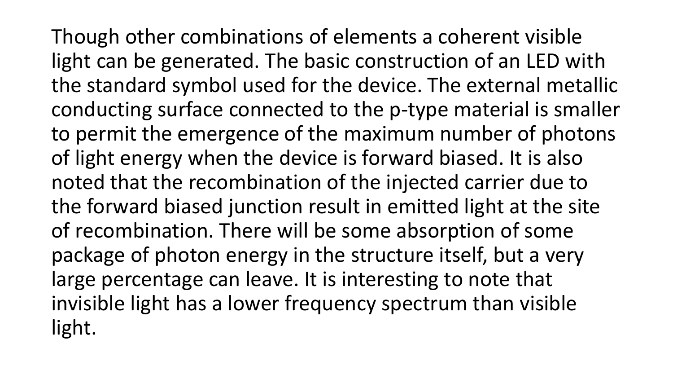Though other combinations of elements a coherent visible light can be generated. The basic construction of an LED with the standard symbol used for the device. The external metallic conducting surface connected to the p-type material is smaller to permit the emergence of the maximum number of photons of light energy when the device is forward biased. It is also noted that the recombination of the injected carrier due to the forward biased junction result in emitted light at the site of recombination. There will be some absorption of some package of photon energy in the structure itself, but a very large percentage can leave. It is interesting to note that invisible light has a lower frequency spectrum than visible light.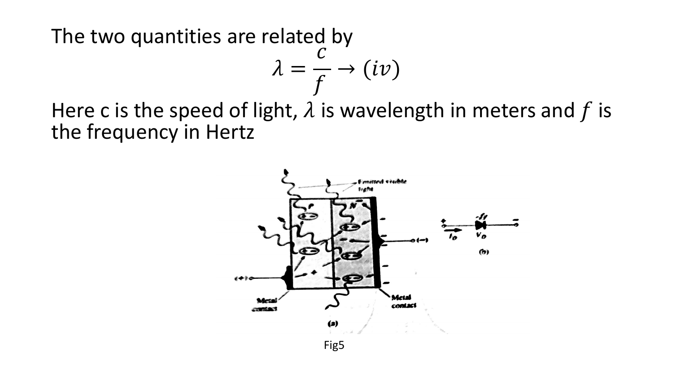The two quantities are related by

$$
\lambda = \frac{c}{f} \rightarrow (iv)
$$

Here c is the speed of light,  $\lambda$  is wavelength in meters and f is the frequency in Hertz

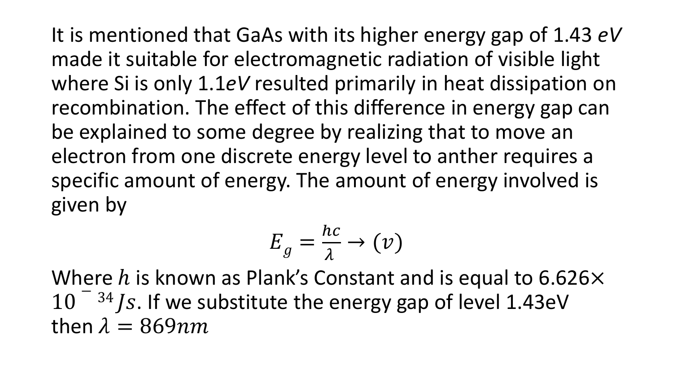It is mentioned that GaAs with its higher energy gap of 1.43 *eV* made it suitable for electromagnetic radiation of visible light where Si is only 1.1*eV* resulted primarily in heat dissipation on recombination. The effect of this difference in energy gap can be explained to some degree by realizing that to move an electron from one discrete energy level to anther requires a specific amount of energy. The amount of energy involved is given by

$$
E_g = \frac{hc}{\lambda} \to (\nu)
$$

Where h is known as Plank's Constant and is equal to 6.626 $\times$  $10^{-34}$  Js. If we substitute the energy gap of level 1.43eV then  $\lambda = 869nm$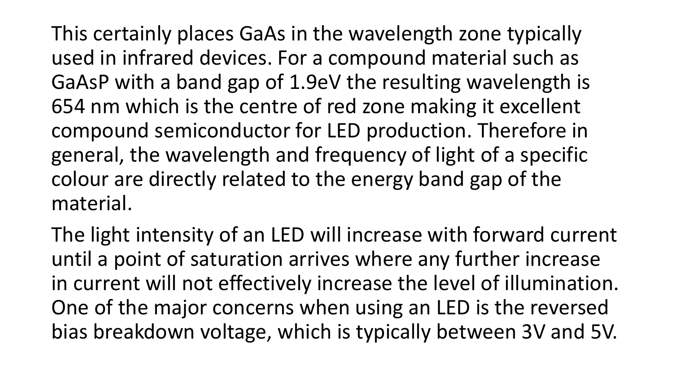This certainly places GaAs in the wavelength zone typically used in infrared devices. For a compound material such as GaAsP with a band gap of 1.9eV the resulting wavelength is 654 nm which is the centre of red zone making it excellent compound semiconductor for LED production. Therefore in general, the wavelength and frequency of light of a specific colour are directly related to the energy band gap of the material.

The light intensity of an LED will increase with forward current until a point of saturation arrives where any further increase in current will not effectively increase the level of illumination. One of the major concerns when using an LED is the reversed bias breakdown voltage, which is typically between 3V and 5V.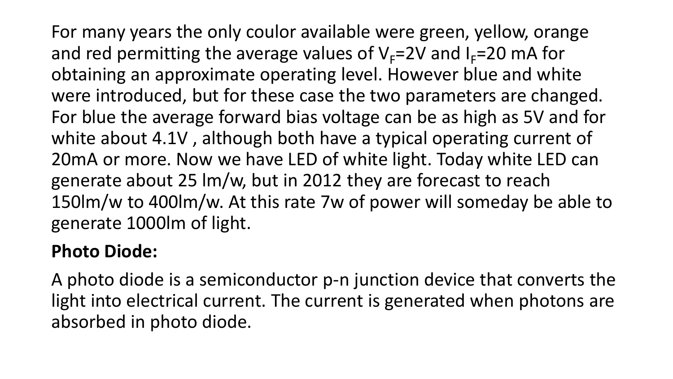For many years the only coulor available were green, yellow, orange and red permitting the average values of  $V_F=2V$  and  $I_F=20$  mA for obtaining an approximate operating level. However blue and white were introduced, but for these case the two parameters are changed. For blue the average forward bias voltage can be as high as 5V and for white about 4.1V , although both have a typical operating current of 20mA or more. Now we have LED of white light. Today white LED can generate about 25 lm/w, but in 2012 they are forecast to reach 150lm/w to 400lm/w. At this rate 7w of power will someday be able to generate 1000lm of light.

#### **Photo Diode:**

A photo diode is a semiconductor p-n junction device that converts the light into electrical current. The current is generated when photons are absorbed in photo diode.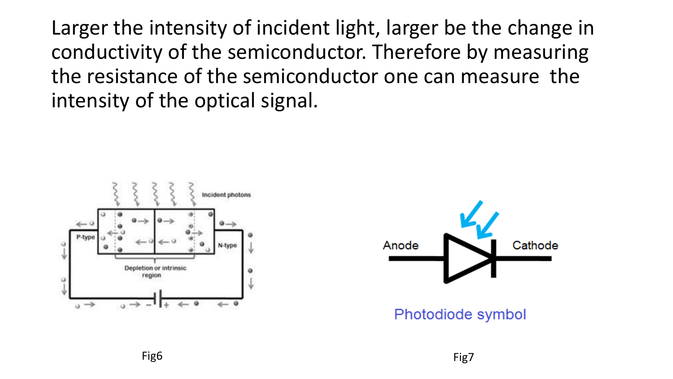Larger the intensity of incident light, larger be the change in conductivity of the semiconductor. Therefore by measuring the resistance of the semiconductor one can measure the intensity of the optical signal.





Photodiode symbol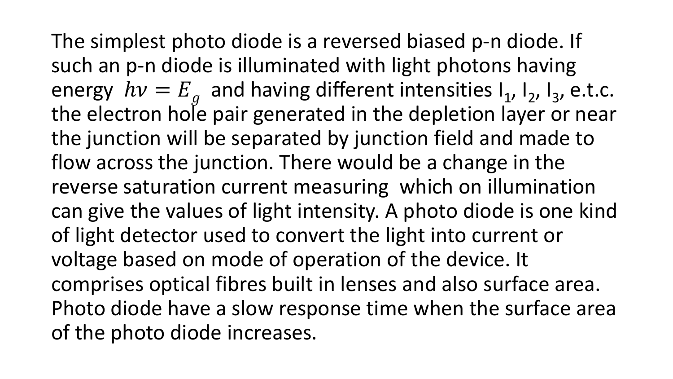The simplest photo diode is a reversed biased p-n diode. If such an p-n diode is illuminated with light photons having energy  $hv = E_g$  and having different intensities  $I_1$ ,  $I_2$ ,  $I_3$ , e.t.c. the electron hole pair generated in the depletion layer or near the junction will be separated by junction field and made to flow across the junction. There would be a change in the reverse saturation current measuring which on illumination can give the values of light intensity. A photo diode is one kind of light detector used to convert the light into current or voltage based on mode of operation of the device. It comprises optical fibres built in lenses and also surface area. Photo diode have a slow response time when the surface area of the photo diode increases.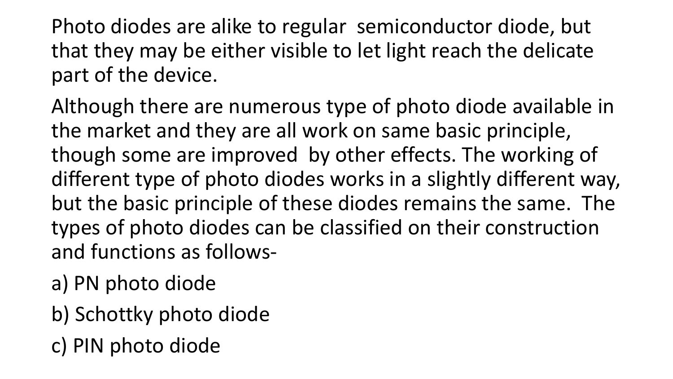Photo diodes are alike to regular semiconductor diode, but that they may be either visible to let light reach the delicate part of the device.

Although there are numerous type of photo diode available in the market and they are all work on same basic principle, though some are improved by other effects. The working of different type of photo diodes works in a slightly different way, but the basic principle of these diodes remains the same. The types of photo diodes can be classified on their construction and functions as follows-

- a) PN photo diode
- b) Schottky photo diode
- c) PIN photo diode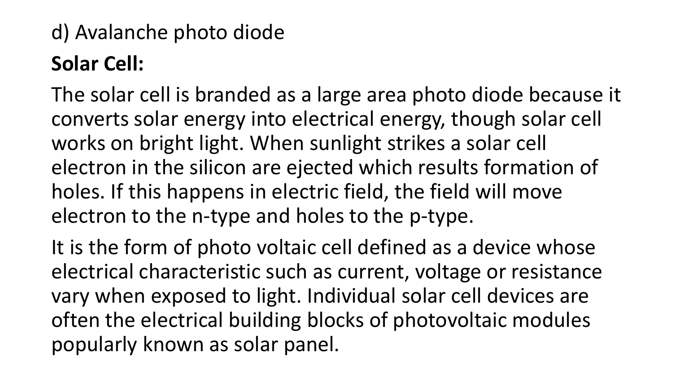# d) Avalanche photo diode **Solar Cell:**

The solar cell is branded as a large area photo diode because it converts solar energy into electrical energy, though solar cell works on bright light. When sunlight strikes a solar cell electron in the silicon are ejected which results formation of holes. If this happens in electric field, the field will move electron to the n-type and holes to the p-type.

It is the form of photo voltaic cell defined as a device whose electrical characteristic such as current, voltage or resistance vary when exposed to light. Individual solar cell devices are often the electrical building blocks of photovoltaic modules popularly known as solar panel.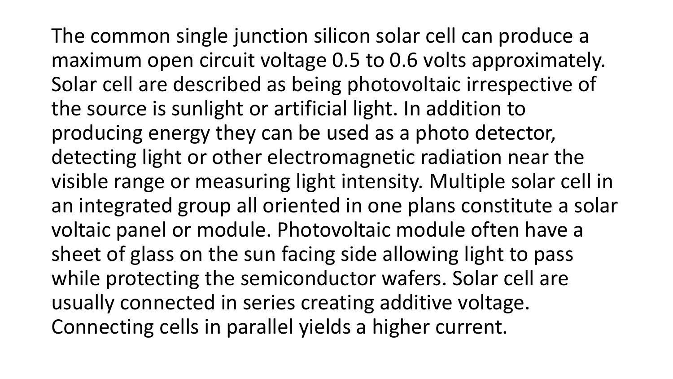The common single junction silicon solar cell can produce a maximum open circuit voltage 0.5 to 0.6 volts approximately. Solar cell are described as being photovoltaic irrespective of the source is sunlight or artificial light. In addition to producing energy they can be used as a photo detector, detecting light or other electromagnetic radiation near the visible range or measuring light intensity. Multiple solar cell in an integrated group all oriented in one plans constitute a solar voltaic panel or module. Photovoltaic module often have a sheet of glass on the sun facing side allowing light to pass while protecting the semiconductor wafers. Solar cell are usually connected in series creating additive voltage. Connecting cells in parallel yields a higher current.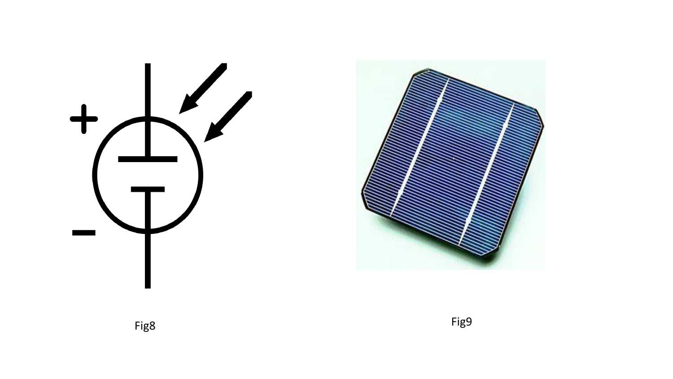